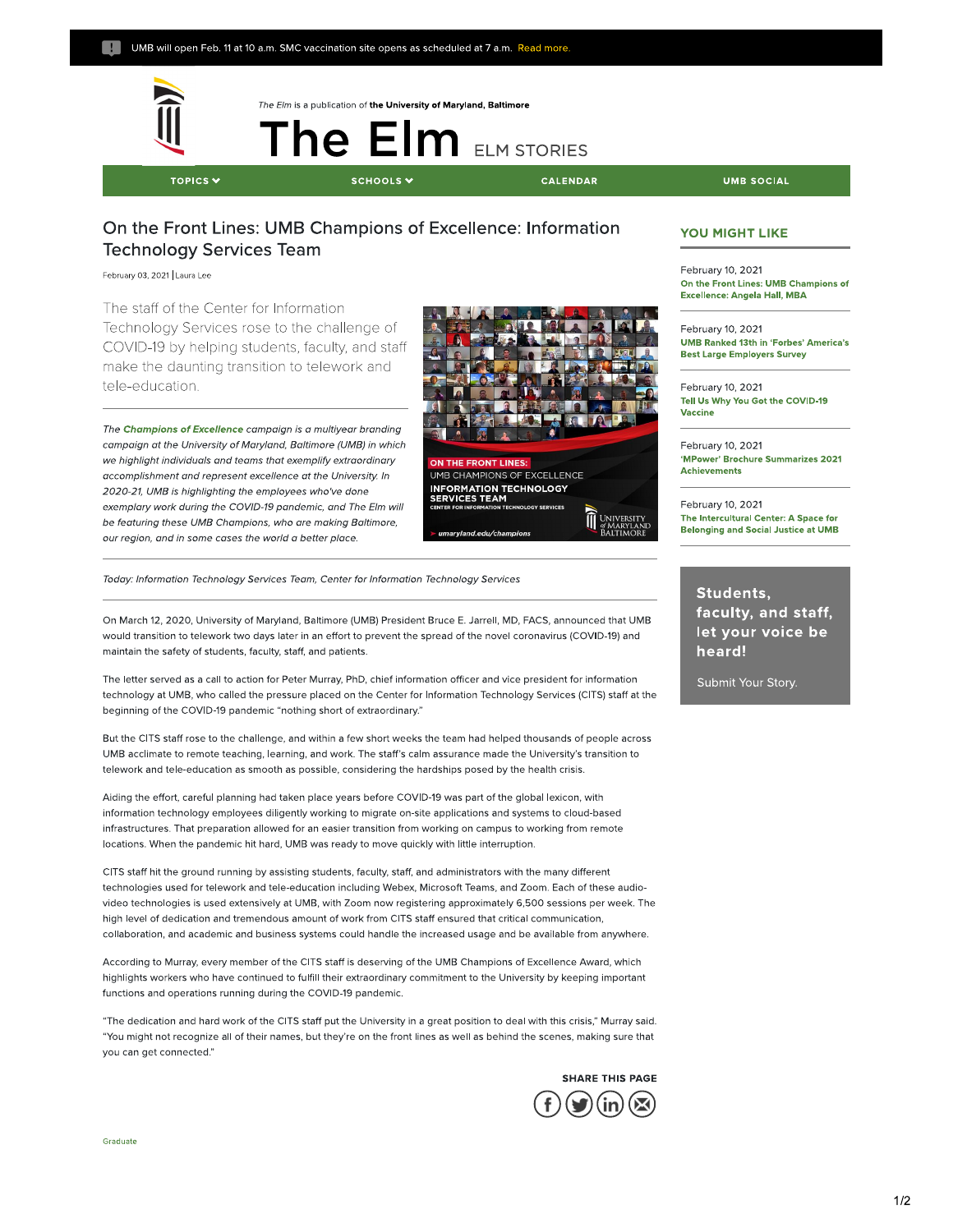

The Elm is a publication of **the University of Maryland, Baltimore** 

TOPICS V SCHOOLS

**The Elm** 

**ELM STORIES** 

**TOPICAL SCHOOLS CALENDAR** UMB SOCIAL

## On the Front Lines: **UMB** Champions of Excellence: Information Technology Services Team

February 03, 2021 Laura Lee

The staff of the Center for Information Technology Services rose to the challenge of COVID-19 by helping students, faculty, and staff make the daunting transition to telework and tele-education.

The **Champions of Excellence** campaign is a multiyear branding campaign at the University of Maryland, Baltimore (UMB) in which we highlight individuals and teams that exemplify extraordinary accomplishment and represent excellence at the University. In 2020-21, UMB is highlighting the employees who've done exemplary work during the COVID-19 pandemic, and The Elm will be featuring these UMB Champions, who are making Baltimore, our region, and in some cases the world a better place.



Today: Information Technology Services Team, Center for Information Technology Services

On March 12, 2020, University of Maryland, Baltimore (UMB) President Bruce E. Jarrell, MD, FACS, announced that UMB would transition to telework two days later in an effort to prevent the spread of the novel coronavirus (COVID-19) and maintain the safety of students, faculty, staff, and patients.

The letter served as a call to action for Peter Murray, PhD, chief information officer and vice president for information technology at UMB, who called the pressure placed on the Center for Information Technology Services (CITS) staff at the beginning of the COVID-19 pandemic "nothing short of extraordinary."

But the CITS staff rose to the challenge, and within a few short weeks the team had helped thousands of people across UMB acclimate to remote teaching, learning, and work. The staff's calm assurance made the University's transition to telework and tele-education as smooth as possible, considering the hardships posed by the health crisis.

Aiding the effort, careful planning had taken place years before COVID-19 was part of the global lexicon, with information technology employees diligently working to migrate on-site applications and systems to cloud-based infrastructures. That preparation allowed for an easier transition from working on campus to working from remote locations. When the pandemic hit hard, UMB was ready to move quickly with little interruption.

CITS staff hit the ground running by assisting students, faculty, staff, and administrators with the many different technologies used for telework and tele-education including Webex, Microsoft Teams, and Zoom. Each of these audiovideo technologies is used extensively at UMB, with Zoom now registering approximately 6,500 sessions per week. The high level of dedication and tremendous amount of work from CITS staff ensured that critical communication, collaboration, and academic and business systems could handle the increased usage and be available from anywhere.

According to Murray, every member of the CITS staff is deserving of the UMB Champions of Excellence Award, which highlights workers who have continued to fulfill their extraordinary commitment to the University by keeping important functions and operations running during the COVID-19 pandemic.

"The dedication and hard work of the CITS staff put the University in a great position to deal with this crisis," Murray said. "You might not recognize all of their names, but they're on the front lines as well as behind the scenes, making sure that you can get connected."



#### **YOU MIGHT LIKE**

February **10, 2021 On the Front Lines: UMB Champions of Excellence: Angela Hall, MBA** 

February 10, 2021 **UMB Ranked 13th In 'Forbes' America's Best Large Employers Survey** 

February 10, 2021 **Tell Us Why You Got the COVID-19 Vaccine** 

February 10, 2021 **'MPower' Brochure Summarizes 2021 Achievements** 

February 10, 2021 **The lntercultural Center: A Space for**  Belonging and Social Justice at **UMB** 

**Students, faculty, and staff, let your voice be heard!** 

Submit Your Story.